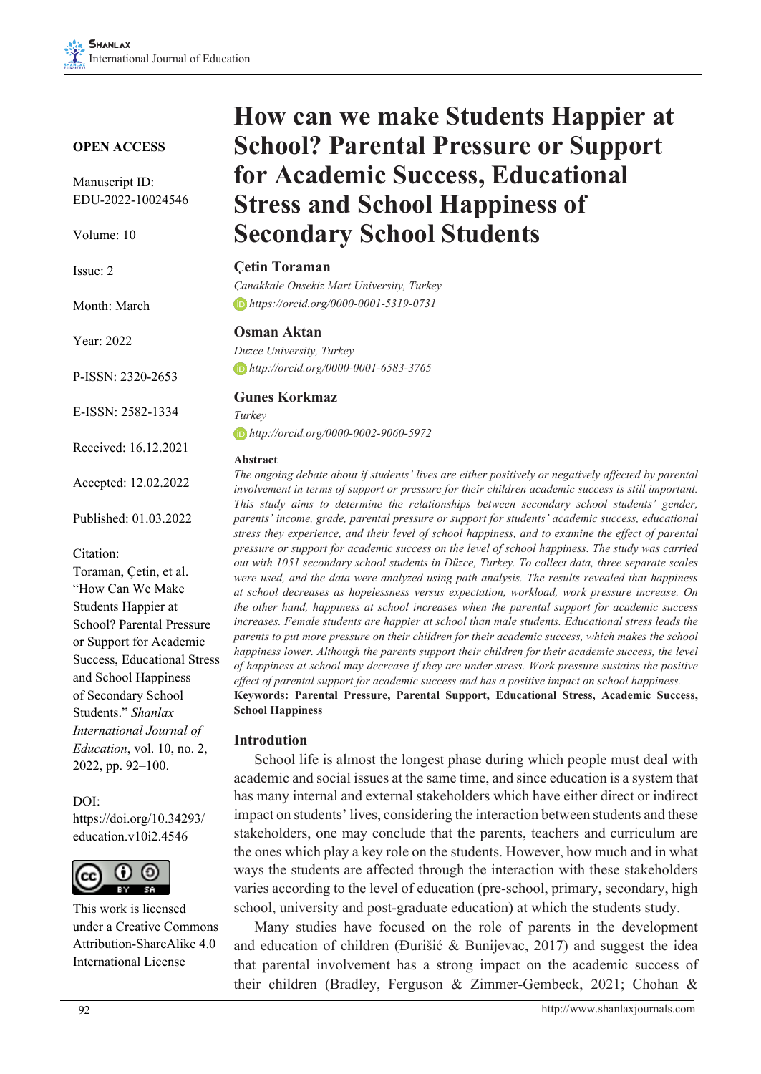#### **OPEN ACCESS**

Manuscript ID: EDU-2022-10024546

Volume: 10

| $I$ ssue: $2$         |  |  |  |  |
|-----------------------|--|--|--|--|
| Month: March          |  |  |  |  |
| Year: 2022            |  |  |  |  |
| P-ISSN: 2320-2653     |  |  |  |  |
| $E-ISSN: 2582-1334$   |  |  |  |  |
| Received: 16.12.2021  |  |  |  |  |
| Accepted: 12.02.2022  |  |  |  |  |
| Published: 01.03.2022 |  |  |  |  |

Citation:

Toraman, Çetin, et al. "How Can We Make Students Happier at School? Parental Pressure or Support for Academic Success, Educational Stress and School Happiness of Secondary School Students." *Shanlax International Journal of Education*, vol. 10, no. 2, 2022, pp. 92–100.

#### DOI:

https://doi.org/10.34293/ education.v10i2.4546



This work is licensed under a Creative Commons Attribution-ShareAlike 4.0 International License

# **How can we make Students Happier at School? Parental Pressure or Support for Academic Success, Educational Stress and School Happiness of Secondary School Students**

#### **Çetin Toraman**

*Çanakkale Onsekiz Mart University, Turkey https://orcid.org/0000-0001-5319-0731*

#### **Osman Aktan**

*Duzce University, Turkey http://orcid.org/0000-0001-6583-3765*

#### **Gunes Korkmaz**

*Turkey http://orcid.org/0000-0002-9060-5972*

#### **Abstract**

*The ongoing debate about if students' lives are either positively or negatively affected by parental involvement in terms of support or pressure for their children academic success is still important. This study aims to determine the relationships between secondary school students' gender, parents' income, grade, parental pressure or support for students' academic success, educational stress they experience, and their level of school happiness, and to examine the effect of parental pressure or support for academic success on the level of school happiness. The study was carried out with 1051 secondary school students in Düzce, Turkey. To collect data, three separate scales were used, and the data were analyzed using path analysis. The results revealed that happiness at school decreases as hopelessness versus expectation, workload, work pressure increase. On the other hand, happiness at school increases when the parental support for academic success increases. Female students are happier at school than male students. Educational stress leads the parents to put more pressure on their children for their academic success, which makes the school happiness lower. Although the parents support their children for their academic success, the level of happiness at school may decrease if they are under stress. Work pressure sustains the positive effect of parental support for academic success and has a positive impact on school happiness.* **Keywords: Parental Pressure, Parental Support, Educational Stress, Academic Success, School Happiness**

#### **Introdution**

School life is almost the longest phase during which people must deal with academic and social issues at the same time, and since education is a system that has many internal and external stakeholders which have either direct or indirect impact on students' lives, considering the interaction between students and these stakeholders, one may conclude that the parents, teachers and curriculum are the ones which play a key role on the students. However, how much and in what ways the students are affected through the interaction with these stakeholders varies according to the level of education (pre-school, primary, secondary, high school, university and post-graduate education) at which the students study.

Many studies have focused on the role of parents in the development and education of children (Đurišić & Bunijevac, 2017) and suggest the idea that parental involvement has a strong impact on the academic success of their children (Bradley, Ferguson & Zimmer-Gembeck, 2021; Chohan &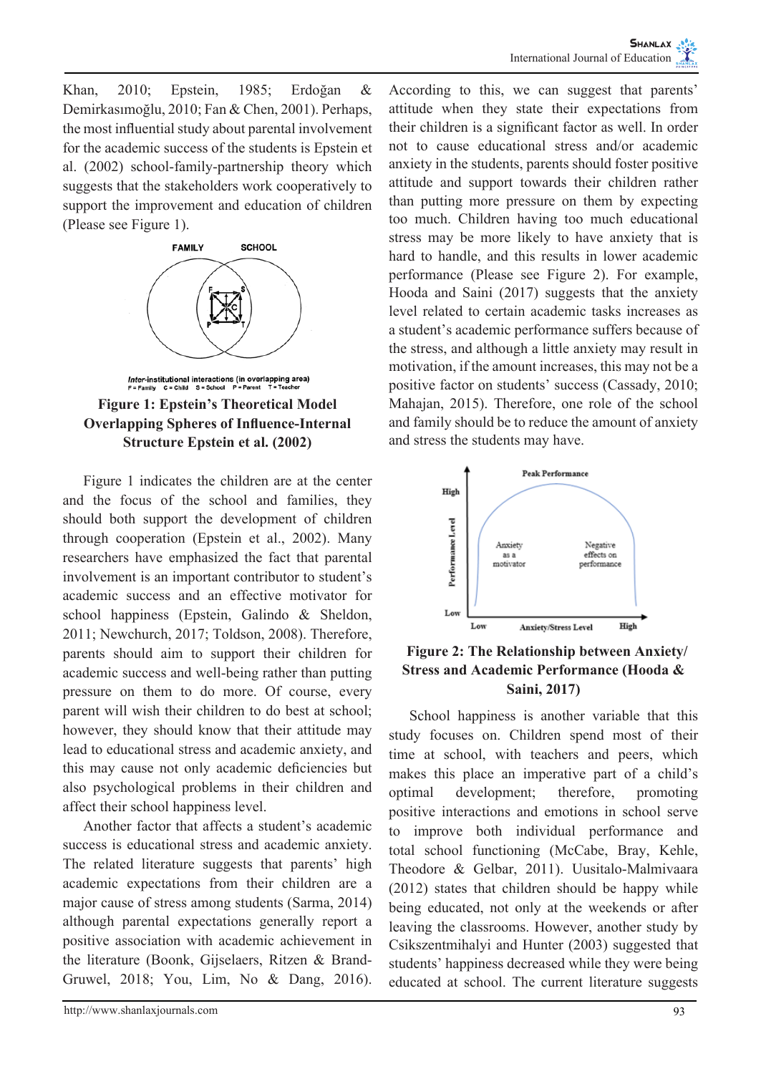Khan, 2010; Epstein, 1985; Erdoğan & Demirkasımoğlu, 2010; Fan & Chen, 2001). Perhaps, the most influential study about parental involvement for the academic success of the students is Epstein et al. (2002) school-family-partnership theory which suggests that the stakeholders work cooperatively to support the improvement and education of children (Please see Figure 1).





Figure 1 indicates the children are at the center and the focus of the school and families, they should both support the development of children through cooperation (Epstein et al., 2002). Many researchers have emphasized the fact that parental involvement is an important contributor to student's academic success and an effective motivator for school happiness (Epstein, Galindo & Sheldon, 2011; Newchurch, 2017; Toldson, 2008). Therefore, parents should aim to support their children for academic success and well-being rather than putting pressure on them to do more. Of course, every parent will wish their children to do best at school; however, they should know that their attitude may lead to educational stress and academic anxiety, and this may cause not only academic deficiencies but also psychological problems in their children and affect their school happiness level.

Another factor that affects a student's academic success is educational stress and academic anxiety. The related literature suggests that parents' high academic expectations from their children are a major cause of stress among students (Sarma, 2014) although parental expectations generally report a positive association with academic achievement in the literature (Boonk, Gijselaers, Ritzen & Brand-Gruwel, 2018; You, Lim, No & Dang, 2016).

According to this, we can suggest that parents' attitude when they state their expectations from their children is a significant factor as well. In order not to cause educational stress and/or academic anxiety in the students, parents should foster positive attitude and support towards their children rather than putting more pressure on them by expecting too much. Children having too much educational stress may be more likely to have anxiety that is hard to handle, and this results in lower academic performance (Please see Figure 2). For example, Hooda and Saini (2017) suggests that the anxiety level related to certain academic tasks increases as a student's academic performance suffers because of the stress, and although a little anxiety may result in motivation, if the amount increases, this may not be a positive factor on students' success (Cassady, 2010; Mahajan, 2015). Therefore, one role of the school and family should be to reduce the amount of anxiety and stress the students may have.



 **Figure 2: The Relationship between Anxiety/ Stress and Academic Performance (Hooda & Saini, 2017)**

School happiness is another variable that this study focuses on. Children spend most of their time at school, with teachers and peers, which makes this place an imperative part of a child's optimal development; therefore, promoting positive interactions and emotions in school serve to improve both individual performance and total school functioning (McCabe, Bray, Kehle, Theodore & Gelbar, 2011). Uusitalo-Malmivaara (2012) states that children should be happy while being educated, not only at the weekends or after leaving the classrooms. However, another study by Csikszentmihalyi and Hunter (2003) suggested that students' happiness decreased while they were being educated at school. The current literature suggests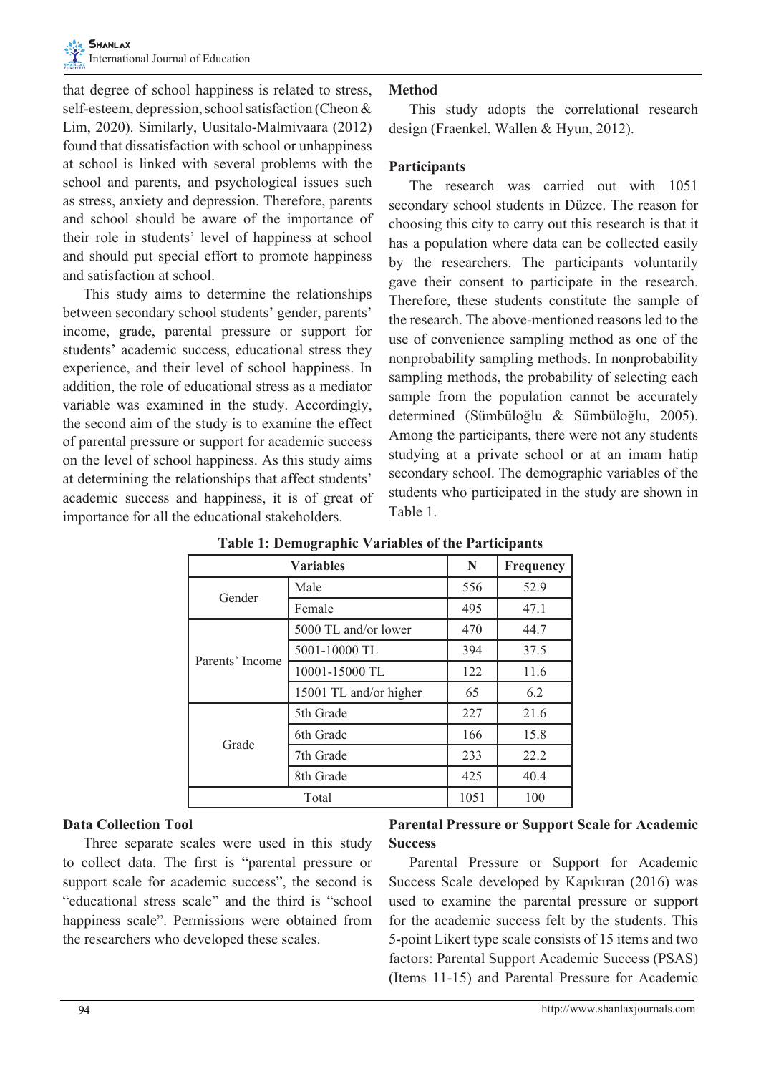that degree of school happiness is related to stress, self-esteem, depression, school satisfaction (Cheon & Lim, 2020). Similarly, Uusitalo-Malmivaara (2012) found that dissatisfaction with school or unhappiness at school is linked with several problems with the school and parents, and psychological issues such as stress, anxiety and depression. Therefore, parents and school should be aware of the importance of their role in students' level of happiness at school and should put special effort to promote happiness and satisfaction at school.

This study aims to determine the relationships between secondary school students' gender, parents' income, grade, parental pressure or support for students' academic success, educational stress they experience, and their level of school happiness. In addition, the role of educational stress as a mediator variable was examined in the study. Accordingly, the second aim of the study is to examine the effect of parental pressure or support for academic success on the level of school happiness. As this study aims at determining the relationships that affect students' academic success and happiness, it is of great of importance for all the educational stakeholders.

## **Method**

This study adopts the correlational research design (Fraenkel, Wallen & Hyun, 2012).

#### **Participants**

The research was carried out with 1051 secondary school students in Düzce. The reason for choosing this city to carry out this research is that it has a population where data can be collected easily by the researchers. The participants voluntarily gave their consent to participate in the research. Therefore, these students constitute the sample of the research. The above-mentioned reasons led to the use of convenience sampling method as one of the nonprobability sampling methods. In nonprobability sampling methods, the probability of selecting each sample from the population cannot be accurately determined (Sümbüloğlu & Sümbüloğlu, 2005). Among the participants, there were not any students studying at a private school or at an imam hatip secondary school. The demographic variables of the students who participated in the study are shown in Table 1.

|                 | N                      | Frequency |      |
|-----------------|------------------------|-----------|------|
| Gender          | Male                   | 556       | 52.9 |
|                 | Female                 | 495       | 47.1 |
| Parents' Income | 5000 TL and/or lower   | 470       | 44.7 |
|                 | 5001-10000 TL          | 394       | 37.5 |
|                 | 10001-15000 TL         | 122       | 11.6 |
|                 | 15001 TL and/or higher | 65        | 6.2  |
| Grade           | 5th Grade              | 227       | 21.6 |
|                 | 6th Grade              | 166       | 15.8 |
|                 | 7th Grade              | 233       | 22.2 |
|                 | 8th Grade              | 425       | 40.4 |
| Total           |                        | 1051      | 100  |

**Table 1: Demographic Variables of the Participants**

#### **Data Collection Tool**

Three separate scales were used in this study to collect data. The first is "parental pressure or support scale for academic success", the second is "educational stress scale" and the third is "school happiness scale". Permissions were obtained from the researchers who developed these scales.

# **Parental Pressure or Support Scale for Academic Success**

Parental Pressure or Support for Academic Success Scale developed by Kapıkıran (2016) was used to examine the parental pressure or support for the academic success felt by the students. This 5-point Likert type scale consists of 15 items and two factors: Parental Support Academic Success (PSAS) (Items 11-15) and Parental Pressure for Academic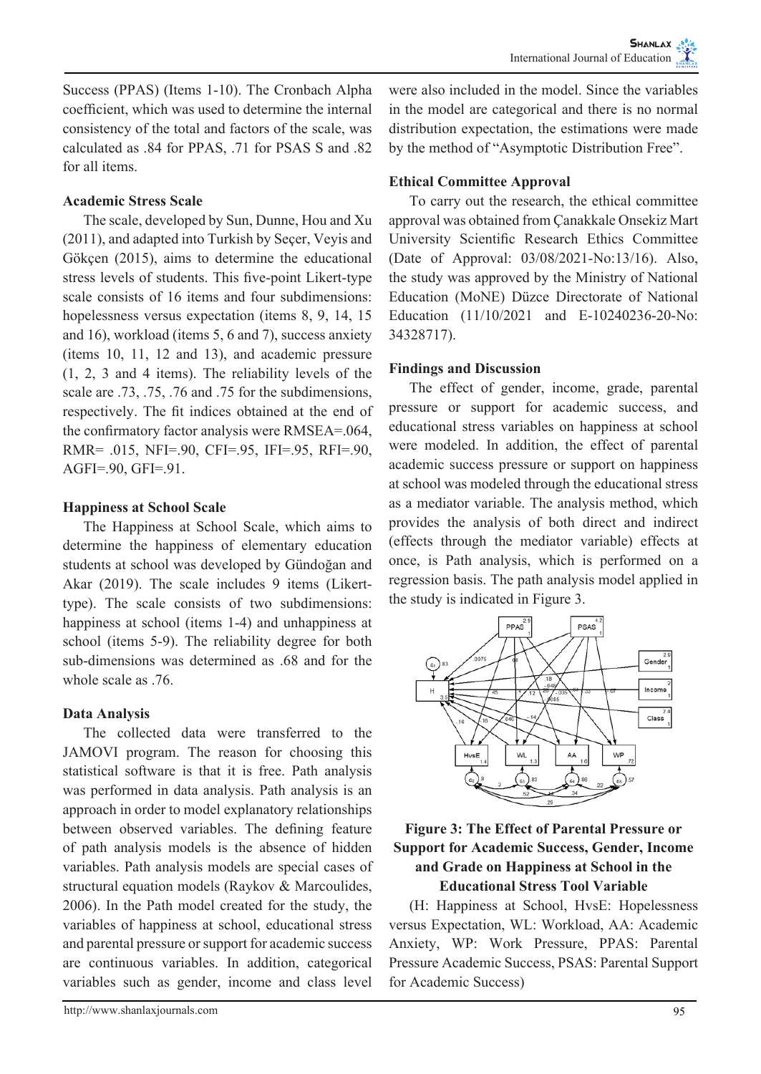Success (PPAS) (Items 1-10). The Cronbach Alpha coefficient, which was used to determine the internal consistency of the total and factors of the scale, was calculated as .84 for PPAS, .71 for PSAS S and .82 for all items.

## **Academic Stress Scale**

The scale, developed by Sun, Dunne, Hou and Xu (2011), and adapted into Turkish by Seçer, Veyis and Gökçen (2015), aims to determine the educational stress levels of students. This five-point Likert-type scale consists of 16 items and four subdimensions: hopelessness versus expectation (items 8, 9, 14, 15 and 16), workload (items 5, 6 and 7), success anxiety (items 10, 11, 12 and 13), and academic pressure (1, 2, 3 and 4 items). The reliability levels of the scale are .73, .75, .76 and .75 for the subdimensions, respectively. The fit indices obtained at the end of the confirmatory factor analysis were RMSEA=.064, RMR= .015, NFI=.90, CFI=.95, IFI=.95, RFI=.90, AGFI=.90, GFI=.91.

# **Happiness at School Scale**

The Happiness at School Scale, which aims to determine the happiness of elementary education students at school was developed by Gündoğan and Akar (2019). The scale includes 9 items (Likerttype). The scale consists of two subdimensions: happiness at school (items 1-4) and unhappiness at school (items 5-9). The reliability degree for both sub-dimensions was determined as .68 and for the whole scale as .76.

# **Data Analysis**

The collected data were transferred to the JAMOVI program. The reason for choosing this statistical software is that it is free. Path analysis was performed in data analysis. Path analysis is an approach in order to model explanatory relationships between observed variables. The defining feature of path analysis models is the absence of hidden variables. Path analysis models are special cases of structural equation models (Raykov & Marcoulides, 2006). In the Path model created for the study, the variables of happiness at school, educational stress and parental pressure or support for academic success are continuous variables. In addition, categorical variables such as gender, income and class level

were also included in the model. Since the variables in the model are categorical and there is no normal distribution expectation, the estimations were made by the method of "Asymptotic Distribution Free".

# **Ethical Committee Approval**

To carry out the research, the ethical committee approval was obtained from Çanakkale Onsekiz Mart University Scientific Research Ethics Committee (Date of Approval: 03/08/2021-No:13/16). Also, the study was approved by the Ministry of National Education (MoNE) Düzce Directorate of National Education (11/10/2021 and E-10240236-20-No: 34328717).

## **Findings and Discussion**

The effect of gender, income, grade, parental pressure or support for academic success, and educational stress variables on happiness at school were modeled. In addition, the effect of parental academic success pressure or support on happiness at school was modeled through the educational stress as a mediator variable. The analysis method, which provides the analysis of both direct and indirect (effects through the mediator variable) effects at once, is Path analysis, which is performed on a regression basis. The path analysis model applied in the study is indicated in Figure 3.



## **Figure 3: The Effect of Parental Pressure or Support for Academic Success, Gender, Income and Grade on Happiness at School in the Educational Stress Tool Variable**

(H: Happiness at School, HvsE: Hopelessness versus Expectation, WL: Workload, AA: Academic Anxiety, WP: Work Pressure, PPAS: Parental Pressure Academic Success, PSAS: Parental Support for Academic Success)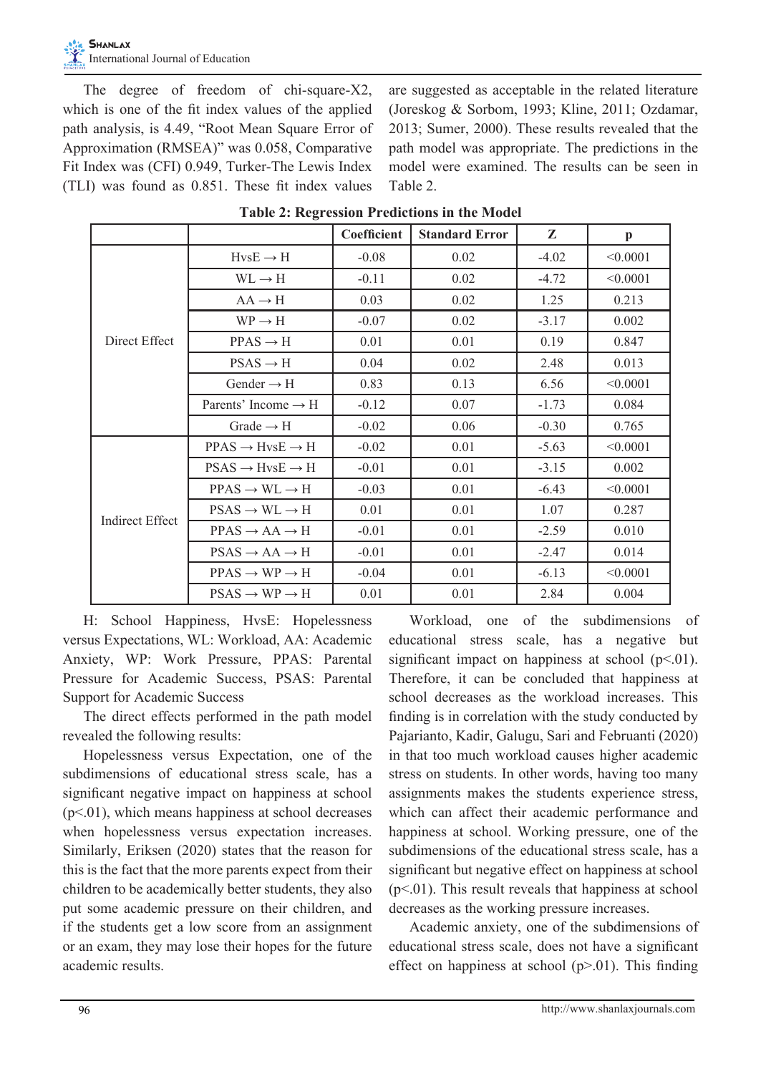The degree of freedom of chi-square-X2, which is one of the fit index values of the applied path analysis, is 4.49, "Root Mean Square Error of Approximation (RMSEA)" was 0.058, Comparative Fit Index was (CFI) 0.949, Turker-The Lewis Index (TLI) was found as 0.851. These fit index values

are suggested as acceptable in the related literature (Joreskog & Sorbom, 1993; Kline, 2011; Ozdamar, 2013; Sumer, 2000). These results revealed that the path model was appropriate. The predictions in the model were examined. The results can be seen in Table 2.

|                        |                                       | Coefficient | <b>Standard Error</b> | Z       | p        |
|------------------------|---------------------------------------|-------------|-----------------------|---------|----------|
| Direct Effect          | $HvSE \rightarrow H$                  | $-0.08$     | 0.02                  | $-4.02$ | < 0.0001 |
|                        | $WL \rightarrow H$                    | $-0.11$     | 0.02                  | $-4.72$ | < 0.0001 |
|                        | $AA \rightarrow H$                    | 0.03        | 0.02                  | 1.25    | 0.213    |
|                        | $WP \rightarrow H$                    | $-0.07$     | 0.02                  | $-3.17$ | 0.002    |
|                        | $PPAS \rightarrow H$                  | 0.01        | 0.01                  | 0.19    | 0.847    |
|                        | $PSAS \rightarrow H$                  | 0.04        | 0.02                  | 2.48    | 0.013    |
|                        | Gender $\rightarrow$ H                | 0.83        | 0.13                  | 6.56    | < 0.0001 |
|                        | Parents' Income $\rightarrow$ H       | $-0.12$     | 0.07                  | $-1.73$ | 0.084    |
|                        | Grade $\rightarrow$ H                 | $-0.02$     | 0.06                  | $-0.30$ | 0.765    |
| <b>Indirect Effect</b> | $PPAS \rightarrow HvsE \rightarrow H$ | $-0.02$     | 0.01                  | $-5.63$ | < 0.0001 |
|                        | $PSAS \rightarrow HvsE \rightarrow H$ | $-0.01$     | 0.01                  | $-3.15$ | 0.002    |
|                        | $PPAS \rightarrow WL \rightarrow H$   | $-0.03$     | 0.01                  | $-6.43$ | < 0.0001 |
|                        | $PSAS \rightarrow WL \rightarrow H$   | 0.01        | 0.01                  | 1.07    | 0.287    |
|                        | $PPAS \rightarrow AA \rightarrow H$   | $-0.01$     | 0.01                  | $-2.59$ | 0.010    |
|                        | $PSAS \rightarrow AA \rightarrow H$   | $-0.01$     | 0.01                  | $-2.47$ | 0.014    |
|                        | $PPAS \rightarrow WP \rightarrow H$   | $-0.04$     | 0.01                  | $-6.13$ | < 0.0001 |
|                        | $PSAS \rightarrow WP \rightarrow H$   | 0.01        | 0.01                  | 2.84    | 0.004    |

**Table 2: Regression Predictions in the Model**

H: School Happiness, HvsE: Hopelessness versus Expectations, WL: Workload, AA: Academic Anxiety, WP: Work Pressure, PPAS: Parental Pressure for Academic Success, PSAS: Parental Support for Academic Success

The direct effects performed in the path model revealed the following results:

Hopelessness versus Expectation, one of the subdimensions of educational stress scale, has a significant negative impact on happiness at school  $(p<.01)$ , which means happiness at school decreases when hopelessness versus expectation increases. Similarly, Eriksen (2020) states that the reason for this is the fact that the more parents expect from their children to be academically better students, they also put some academic pressure on their children, and if the students get a low score from an assignment or an exam, they may lose their hopes for the future academic results.

Workload, one of the subdimensions of educational stress scale, has a negative but significant impact on happiness at school  $(p<.01)$ . Therefore, it can be concluded that happiness at school decreases as the workload increases. This finding is in correlation with the study conducted by Pajarianto, Kadir, Galugu, Sari and Februanti (2020) in that too much workload causes higher academic stress on students. In other words, having too many assignments makes the students experience stress, which can affect their academic performance and happiness at school. Working pressure, one of the subdimensions of the educational stress scale, has a significant but negative effect on happiness at school  $(p<.01)$ . This result reveals that happiness at school decreases as the working pressure increases.

Academic anxiety, one of the subdimensions of educational stress scale, does not have a significant effect on happiness at school  $(p>0.01)$ . This finding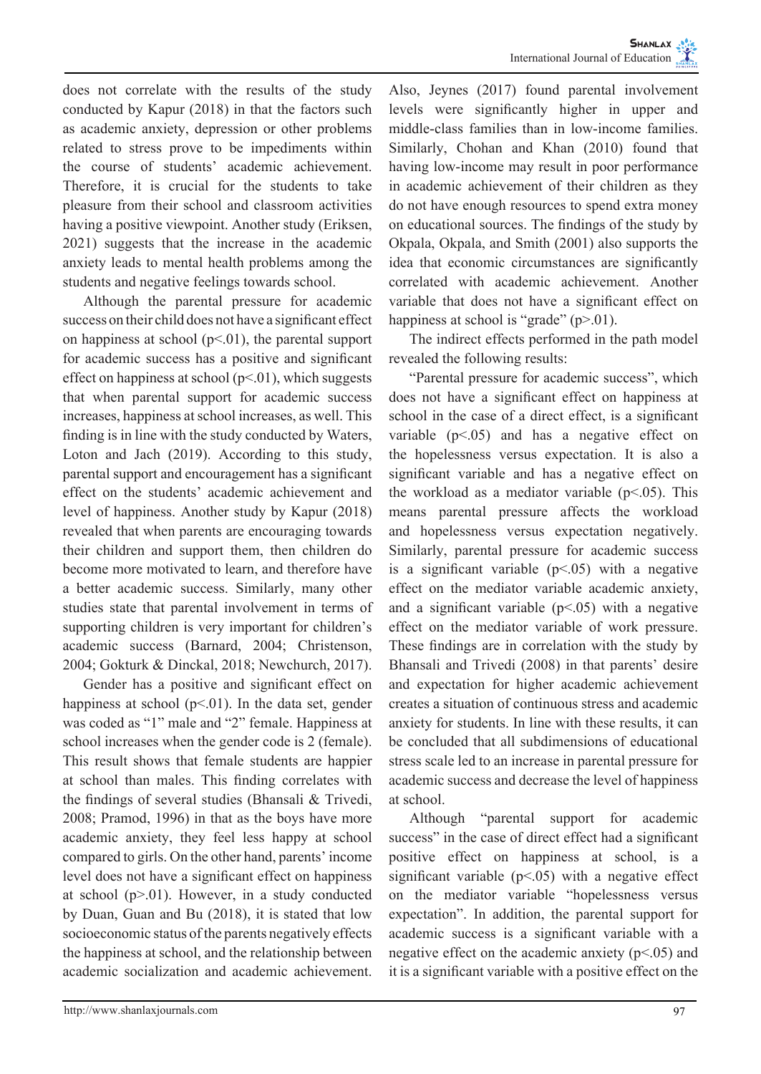does not correlate with the results of the study conducted by Kapur (2018) in that the factors such as academic anxiety, depression or other problems related to stress prove to be impediments within the course of students' academic achievement. Therefore, it is crucial for the students to take pleasure from their school and classroom activities having a positive viewpoint. Another study (Eriksen, 2021) suggests that the increase in the academic anxiety leads to mental health problems among the students and negative feelings towards school.

Although the parental pressure for academic success on their child does not have a significant effect on happiness at school  $(p<01)$ , the parental support for academic success has a positive and significant effect on happiness at school  $(p<.01)$ , which suggests that when parental support for academic success increases, happiness at school increases, as well. This finding is in line with the study conducted by Waters, Loton and Jach (2019). According to this study, parental support and encouragement has a significant effect on the students' academic achievement and level of happiness. Another study by Kapur (2018) revealed that when parents are encouraging towards their children and support them, then children do become more motivated to learn, and therefore have a better academic success. Similarly, many other studies state that parental involvement in terms of supporting children is very important for children's academic success (Barnard, 2004; Christenson, 2004; Gokturk & Dinckal, 2018; Newchurch, 2017).

Gender has a positive and significant effect on happiness at school  $(p<01)$ . In the data set, gender was coded as "1" male and "2" female. Happiness at school increases when the gender code is 2 (female). This result shows that female students are happier at school than males. This finding correlates with the findings of several studies (Bhansali & Trivedi, 2008; Pramod, 1996) in that as the boys have more academic anxiety, they feel less happy at school compared to girls. On the other hand, parents' income level does not have a significant effect on happiness at school  $(p>0.01)$ . However, in a study conducted by Duan, Guan and Bu (2018), it is stated that low socioeconomic status of the parents negatively effects the happiness at school, and the relationship between academic socialization and academic achievement.

Also, Jeynes (2017) found parental involvement levels were significantly higher in upper and middle-class families than in low-income families. Similarly, Chohan and Khan (2010) found that having low-income may result in poor performance in academic achievement of their children as they do not have enough resources to spend extra money on educational sources. The findings of the study by Okpala, Okpala, and Smith (2001) also supports the idea that economic circumstances are significantly correlated with academic achievement. Another variable that does not have a significant effect on happiness at school is "grade" (p>.01).

The indirect effects performed in the path model revealed the following results:

"Parental pressure for academic success", which does not have a significant effect on happiness at school in the case of a direct effect, is a significant variable  $(p<.05)$  and has a negative effect on the hopelessness versus expectation. It is also a significant variable and has a negative effect on the workload as a mediator variable  $(p<0.05)$ . This means parental pressure affects the workload and hopelessness versus expectation negatively. Similarly, parental pressure for academic success is a significant variable  $(p<0.05)$  with a negative effect on the mediator variable academic anxiety, and a significant variable  $(p<.05)$  with a negative effect on the mediator variable of work pressure. These findings are in correlation with the study by Bhansali and Trivedi (2008) in that parents' desire and expectation for higher academic achievement creates a situation of continuous stress and academic anxiety for students. In line with these results, it can be concluded that all subdimensions of educational stress scale led to an increase in parental pressure for academic success and decrease the level of happiness at school.

Although "parental support for academic success" in the case of direct effect had a significant positive effect on happiness at school, is a significant variable  $(p<0.05)$  with a negative effect on the mediator variable "hopelessness versus expectation". In addition, the parental support for academic success is a significant variable with a negative effect on the academic anxiety  $(p<.05)$  and it is a significant variable with a positive effect on the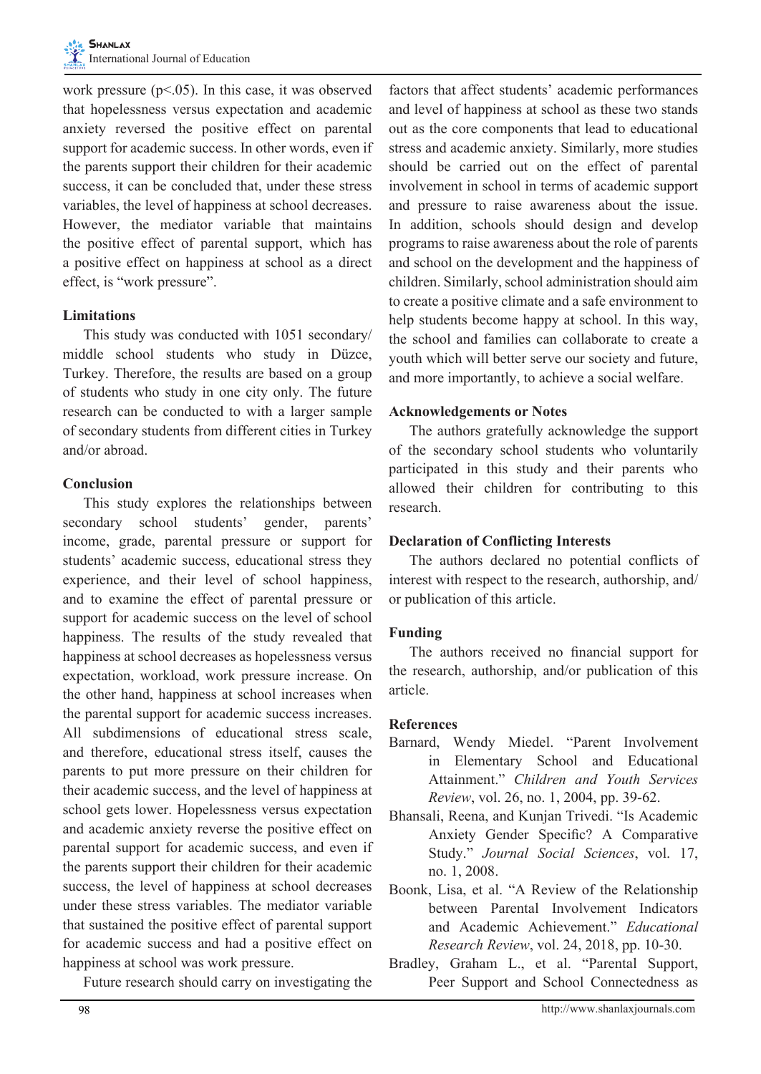work pressure ( $p$ <.05). In this case, it was observed that hopelessness versus expectation and academic anxiety reversed the positive effect on parental support for academic success. In other words, even if the parents support their children for their academic success, it can be concluded that, under these stress variables, the level of happiness at school decreases. However, the mediator variable that maintains the positive effect of parental support, which has a positive effect on happiness at school as a direct effect, is "work pressure".

## **Limitations**

This study was conducted with 1051 secondary/ middle school students who study in Düzce, Turkey. Therefore, the results are based on a group of students who study in one city only. The future research can be conducted to with a larger sample of secondary students from different cities in Turkey and/or abroad.

## **Conclusion**

This study explores the relationships between secondary school students' gender, parents' income, grade, parental pressure or support for students' academic success, educational stress they experience, and their level of school happiness, and to examine the effect of parental pressure or support for academic success on the level of school happiness. The results of the study revealed that happiness at school decreases as hopelessness versus expectation, workload, work pressure increase. On the other hand, happiness at school increases when the parental support for academic success increases. All subdimensions of educational stress scale, and therefore, educational stress itself, causes the parents to put more pressure on their children for their academic success, and the level of happiness at school gets lower. Hopelessness versus expectation and academic anxiety reverse the positive effect on parental support for academic success, and even if the parents support their children for their academic success, the level of happiness at school decreases under these stress variables. The mediator variable that sustained the positive effect of parental support for academic success and had a positive effect on happiness at school was work pressure.

Future research should carry on investigating the

factors that affect students' academic performances and level of happiness at school as these two stands out as the core components that lead to educational stress and academic anxiety. Similarly, more studies should be carried out on the effect of parental involvement in school in terms of academic support and pressure to raise awareness about the issue. In addition, schools should design and develop programs to raise awareness about the role of parents and school on the development and the happiness of children. Similarly, school administration should aim to create a positive climate and a safe environment to help students become happy at school. In this way, the school and families can collaborate to create a youth which will better serve our society and future, and more importantly, to achieve a social welfare.

## **Acknowledgements or Notes**

The authors gratefully acknowledge the support of the secondary school students who voluntarily participated in this study and their parents who allowed their children for contributing to this research.

#### **Declaration of Conflicting Interests**

The authors declared no potential conflicts of interest with respect to the research, authorship, and/ or publication of this article.

# **Funding**

The authors received no financial support for the research, authorship, and/or publication of this article.

# **References**

- Barnard, Wendy Miedel. "Parent Involvement in Elementary School and Educational Attainment." *Children and Youth Services Review*, vol. 26, no. 1, 2004, pp. 39-62.
- Bhansali, Reena, and Kunjan Trivedi. "Is Academic Anxiety Gender Specific? A Comparative Study." *Journal Social Sciences*, vol. 17, no. 1, 2008.
- Boonk, Lisa, et al. "A Review of the Relationship between Parental Involvement Indicators and Academic Achievement." *Educational Research Review*, vol. 24, 2018, pp. 10-30.
- Bradley, Graham L., et al. "Parental Support, Peer Support and School Connectedness as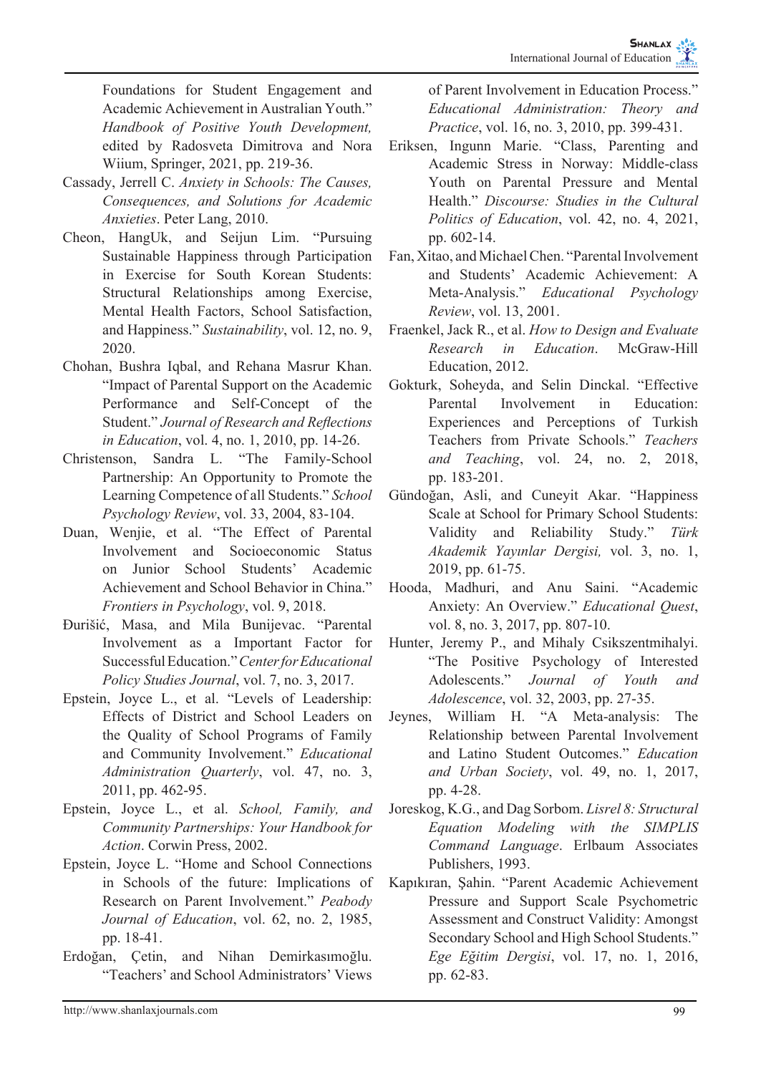Foundations for Student Engagement and Academic Achievement in Australian Youth." *Handbook of Positive Youth Development,*  edited by Radosveta Dimitrova and Nora Wiium, Springer, 2021, pp. 219-36.

- Cassady, Jerrell C. *Anxiety in Schools: The Causes, Consequences, and Solutions for Academic Anxieties*. Peter Lang, 2010.
- Cheon, HangUk, and Seijun Lim. "Pursuing Sustainable Happiness through Participation in Exercise for South Korean Students: Structural Relationships among Exercise, Mental Health Factors, School Satisfaction, and Happiness." *Sustainability*, vol. 12, no. 9, 2020.
- Chohan, Bushra Iqbal, and Rehana Masrur Khan. "Impact of Parental Support on the Academic Performance and Self-Concept of the Student." *Journal of Research and Reflections in Education*, vol. 4, no. 1, 2010, pp. 14-26.
- Christenson, Sandra L. "The Family-School Partnership: An Opportunity to Promote the Learning Competence of all Students." *School Psychology Review*, vol. 33, 2004, 83-104.
- Duan, Wenjie, et al. "The Effect of Parental Involvement and Socioeconomic Status on Junior School Students' Academic Achievement and School Behavior in China." *Frontiers in Psychology*, vol. 9, 2018.
- Đurišić, Masa, and Mila Bunijevac. "Parental Involvement as a Important Factor for Successful Education." *Center for Educational Policy Studies Journal*, vol. 7, no. 3, 2017.
- Epstein, Joyce L., et al. "Levels of Leadership: Effects of District and School Leaders on the Quality of School Programs of Family and Community Involvement." *Educational Administration Quarterly*, vol. 47, no. 3, 2011, pp. 462-95.
- Epstein, Joyce L., et al. *School, Family, and Community Partnerships: Your Handbook for Action*. Corwin Press, 2002.
- Epstein, Joyce L. "Home and School Connections in Schools of the future: Implications of Research on Parent Involvement." *Peabody Journal of Education*, vol. 62, no. 2, 1985, pp. 18-41.
- Erdoğan, Çetin, and Nihan Demirkasımoğlu. "Teachers' and School Administrators' Views

of Parent Involvement in Education Process." *Educational Administration: Theory and Practice*, vol. 16, no. 3, 2010, pp. 399-431.

- Eriksen, Ingunn Marie. "Class, Parenting and Academic Stress in Norway: Middle-class Youth on Parental Pressure and Mental Health." *Discourse: Studies in the Cultural Politics of Education*, vol. 42, no. 4, 2021, pp. 602-14.
- Fan, Xitao, and Michael Chen. "Parental Involvement and Students' Academic Achievement: A Meta-Analysis." *Educational Psychology Review*, vol. 13, 2001.
- Fraenkel, Jack R., et al. *How to Design and Evaluate Research in Education*. McGraw-Hill Education, 2012.
- Gokturk, Soheyda, and Selin Dinckal. "Effective Parental Involvement in Education: Experiences and Perceptions of Turkish Teachers from Private Schools." *Teachers and Teaching*, vol. 24, no. 2, 2018, pp. 183-201.
- Gündoğan, Asli, and Cuneyit Akar. "Happiness Scale at School for Primary School Students: Validity and Reliability Study." *Türk Akademik Yayınlar Dergisi,* vol. 3, no. 1, 2019, pp. 61-75.
- Hooda, Madhuri, and Anu Saini. "Academic Anxiety: An Overview." *Educational Quest*, vol. 8, no. 3, 2017, pp. 807-10.
- Hunter, Jeremy P., and Mihaly Csikszentmihalyi. "The Positive Psychology of Interested Adolescents." *Journal of Youth and Adolescence*, vol. 32, 2003, pp. 27-35.
- Jeynes, William H. "A Meta-analysis: The Relationship between Parental Involvement and Latino Student Outcomes." *Education and Urban Society*, vol. 49, no. 1, 2017, pp. 4-28.
- Joreskog, K.G., and Dag Sorbom. *Lisrel 8: Structural Equation Modeling with the SIMPLIS Command Language*. Erlbaum Associates Publishers, 1993.
- Kapıkıran, Şahin. "Parent Academic Achievement Pressure and Support Scale Psychometric Assessment and Construct Validity: Amongst Secondary School and High School Students." *Ege Eğitim Dergisi*, vol. 17, no. 1, 2016, pp. 62-83.